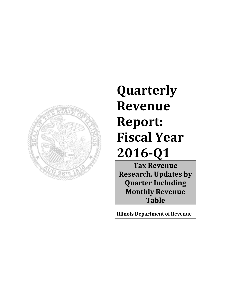

# **Quarterly Revenue Report: Fiscal Year 2016-Q1**

**Tax Revenue Research, Updates by Quarter Including Monthly Revenue Table**

**Illinois Department of Revenue**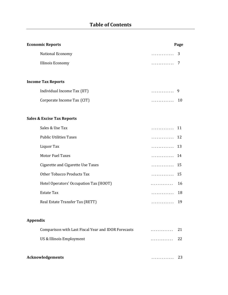| <b>Economic Reports</b>                             | Page    |
|-----------------------------------------------------|---------|
| National Economy                                    | 3<br>.  |
| Illinois Economy                                    | 7<br>.  |
|                                                     |         |
| <b>Income Tax Reports</b>                           |         |
| Individual Income Tax (IIT)                         | .<br>9  |
| Corporate Income Tax (CIT)                          | 10<br>. |
|                                                     |         |
| <b>Sales &amp; Excise Tax Reports</b>               |         |
| Sales & Use Tax                                     | 11<br>. |
| <b>Public Utilities Taxes</b>                       | 12<br>. |
| Liquor Tax                                          | 13<br>. |
| <b>Motor Fuel Taxes</b>                             | 14<br>. |
| Cigarette and Cigarette Use Taxes                   | 15<br>. |
| <b>Other Tobacco Products Tax</b>                   | 15<br>. |
| Hotel Operators' Occupation Tax (HOOT)              | 16<br>. |
| <b>Estate Tax</b>                                   | 18<br>. |
| Real Estate Transfer Tax (RETT)                     | 19<br>. |
|                                                     |         |
| <b>Appendix</b>                                     |         |
| Comparison with Last Fiscal Year and IDOR Forecasts | 21<br>. |
| US & Illinois Employment                            | 22<br>. |
|                                                     |         |
| <b>Acknowledgements</b>                             | 23<br>. |
|                                                     |         |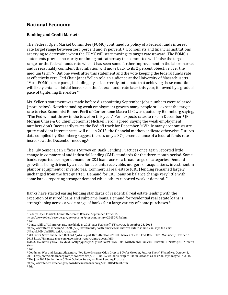## **National Economy**

## **Banking and Credit Markets**

The Federal Open Market Committee (FOMC) continue[d](#page-2-0) its policy of a federal funds interest rate target range between zero percent and  $\frac{1}{4}$  percent.<sup>1</sup> Economists and financial institutions are trying to determine when the FOMC will start moving its target rate upward. The FOMC's statements provide no clarity on timing but rather say the committee will "raise the target range for the federal funds rate when it has seen some further improvement in the labor market and is reasona[bl](#page-2-1)y confident that inflation will move back to its 2 percent objective over the medium term."2 But one week after this statement and the vote keeping the federal funds rate at effectively zero, Fed Chair Janet Yellen told an audience at the University of Massachusetts "Most FOMC participants, including myself, currently anticipate that achieving these conditions will likely entail an initial increase in the federal funds rate later this year, followed by a gradual pace of tightening thereafter."[3](#page-2-2)

Ms. Yellen's statement was made before disappointing September jobs numbers were released (more below). Notwithstanding weak employment growth many people still expect the target rate to rise. Economist Robert Perli of Cornerstone Macro LLC was quoted by Bloomberg [sa](#page-2-3)ying, "The Fed will not throw in the towel on this year." Perli expects rates to rise in December.4 JP Morgan Chase & Co Chief Economist Michael Feroli agreed, sayin[g t](#page-2-4)he weak employment numbers don't "necessarily takes the Fed off track for December."5 While many economists are quite confident interest rates will rise in 2015, the financial markets indicate otherwise. Futures data compiled by Bloomberg suggest there is only a 37-percent chance of a federal funds rate increase at the December meeting.[6](#page-2-5)

The July Senior Loan Officer's Survey on Bank Lending Practices once again reported little change in commercial and industrial lending (C&I) standards for the three-month period. Some banks reported stronger demand for C&I loans across a broad range of categories. Demand growth is being driven by a need for accounts receivable, mergers or acquisitions, investment in plant or equipment or inventories. Commercial real estate (CRE) lending remained largely unchanged from the first quarter. Demand for CRE loans on balance change ver[y](#page-2-6) little with some banks reporting stronger demand while others reported weaker demand.<sup>7</sup>

Banks have started easing lending standards of residential real estate lending with the exception of insured loans and subprime loans. Demand for residential real estate loans is strengthening across a wide range of banks for a large variety of home purchases.[8](#page-2-7)

<span id="page-2-0"></span><sup>&</sup>lt;sup>1</sup> Federal Open Markets Committee, Press Release, September 17<sup>th</sup> 2015

<http://www.federalreserve.gov/newsevents/press/monetary/20150917a.htm>

<span id="page-2-2"></span><span id="page-2-1"></span><sup>2</sup> Ibid

<sup>3</sup> Duncan, Ellie, "US interest rate rise likely in 2015, says Fed chief," *FT Advisor*, September 25, 2015

http://www.ftadviser.com/2015/09/25/investments/north-america/us-interest-rate-rise-likely-in-says-fed-chief-UNieacEAGMUkslBUibjxzL/article.html

<span id="page-2-3"></span><sup>4</sup> Matthews, Steve and Miller, Richard, "Jobs Report Dims But Doesn't Kill Chances of 2015 Fed Rate Hike", *Bloomberg*, October 2, 2015 http://finance.yahoo.com/news/jobs-report-dims-doesnt-kill-

<sup>160927457.</sup>html;\_ylt=A0LEVyEixhJW9IgAJqBXNyoA;\_ylu=X3oDMTByMjB0aG5zBGNvbG8DYmYxBHBvcwMxBHZ0aWQDBHNlYwNz Yw--

<span id="page-2-4"></span><sup>5</sup> Ibid

<span id="page-2-5"></span><sup>6</sup> Goodman, Wes and Scaggs, Alexandra, "Fed Rate-Increase Odds Drop to 10%for October, Futures Show" *Bloomberg*, October 4, 2015 http://www.bloomberg.com/news/articles/2015-10-05/fed-odds-drop-to-10-for-october-as-el-erian-says-maybe-in-2015

<span id="page-2-6"></span><sup>7</sup> The July 2015 Senior Loan Officer Opinion Survey on Bank Lending Practices,

<http://www.federalreserve.gov/boarddocs/snloansurvey/201508/default.htm>

<span id="page-2-7"></span><sup>8</sup> Ibid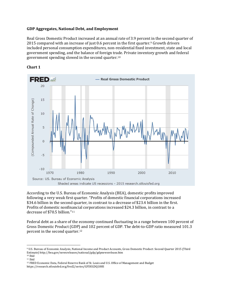## **GDP Aggregates, National Debt, and Employment**

Real Gross Domestic Product increased at an annual rate of 3.9 percent in the second quarter of 2015 compared with an increase of just 0.6 percent in the first quarter[.9](#page-3-0) Growth drivers included personal consumption expenditures, non-residential fixed investment, state and local government spending, and the balance of foreign trade. Private inventory growth and federal government spending slowed in the second quarter.[10](#page-3-1)



#### **Chart 1**

According to the U.S. Bureau of Economic Analysis (BEA), domestic profits improved following a very weak first quarter. "Profits of domestic financial corporations increased \$34.6 billion in the second quarter, in contrast to a decrease of \$23.4 billion in the first. Profits of domestic nonfinancial corporations increased \$24.3 billion, in contrast to a decrease of \$70.5 billion."[11](#page-3-2)

Federal debt as a share of the economy continued fluctuating in a range between 100 percent of Gross Domestic Product (GDP) and 102 percent of GDP. The debt-to-GDP ratio measured 101.3 percent in the second quarter.[12](#page-3-3)

<span id="page-3-0"></span><sup>9</sup> U.S. Bureau of Economic Analysis, National Income and Product Accounts, Gross Domestic Product: Second Quarter 2015 (Third Estimate) http://bea.gov/newsreleases/national/gdp/gdpnewsrelease.htm

<span id="page-3-1"></span><sup>10</sup> Ibid

<span id="page-3-2"></span><sup>11</sup> Ibid

<span id="page-3-3"></span><sup>12</sup> FRED Economic Data, Federal Reserve Bank of St. Louis and U.S. Office of Management and Budget https://research.stlouisfed.org/fred2/series/GFDEGDQ188S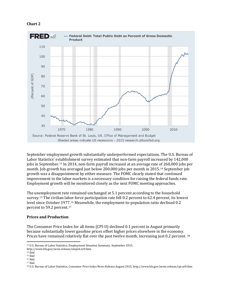#### **Chart 2**



September employment growth substantially underperformed expectations. The U.S. Bureau of Labor Statistics' establishment survey estimated that non-farm payroll increased by 142,000 jobs in September.[13](#page-4-0) In 2014, non-farm payroll increased at an average rate of 260,000 jobs per month. Job growth has averaged just below 200,000 jobs per month in 2015.[14](#page-4-1) September job growth was a disappointment by either measure. The FOMC clearly stated that continued improvement in the labor markets is a necessary condition for raising the federal funds rate. Employment growth will be monitored closely as the next FOMC meeting approaches.

The unemployment rate remained unchanged at 5.1 percent according to the household survey.[15](#page-4-2) The civilian labor force participation rate fell 0.2 percent to 62.4 percent, its lowest level since October 1977.[16](#page-4-3) Meanwhile, the employment-to-population ratio declined 0.2 percent to 59.2 percent.[17](#page-4-4)

## **Prices and Production**

The Consumer Price Index for all items (CPI-U) declined 0.1 percent in August primarily because substantially lower gasoline prices offset higher prices elsewhere in the economy. Prices have remained relatively flat over the past twelve month, increasing just 0.2 percent. [18](#page-4-5)

<span id="page-4-0"></span><sup>13</sup> U.S. Bureau of Labor Statistics, Employment Situation Summary, September 2015,

http://www.bls.gov/news.release/empsit.nr0.htm

<span id="page-4-1"></span><sup>14</sup> Ibid

<span id="page-4-2"></span><sup>15</sup> Ibid

<span id="page-4-3"></span><sup>16</sup> Ibid

<span id="page-4-4"></span><sup>17</sup> Ibid

<span id="page-4-5"></span><sup>18</sup> U.S. Bureau of Labor Statistics, Consumer Price Index News Release August 2015, http://www.bls.gov/news.release/cpi.nr0.htm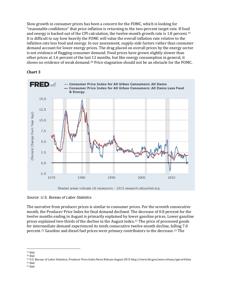Slow growth in consumer prices has been a concern for the FOMC, which is looking for "reasonable confidence" that price inflation is returning to the two-percent target rate. If food and energy is backed out of the CPI calculation, the twelve-month growth rate is 1.8 percent[.19](#page-5-0) It is difficult to say how heavily the FOMC will value the overall inflation rate relative to the inflation rate less food and energy. In our assessment, supply-side factors rather than consumer demand account for lower energy prices. The drag placed on overall prices by the energy sector is not evidence of flagging consumer demand. Food prices have grown slightly slower than other prices at 1.6 percent of the las[t 1](#page-5-1)2 months, but like energy consumption in general, it shows no evidence of weak demand.20 Price stagnation should not be an obstacle for the FOMC.

## **Chart 3**



*Source: U.S. Bureau of Labor Statistics*

The narrative from producer prices is similar to consumer prices. For the seventh consecutive month, the Producer Price Index for final demand declined. The decrease of 0.8 percent for the twelve months ending in August is primarily explained by lower gasoline prices. Lower gasoline prices explained two-thirds of the decline in the August index.<sup>[21](#page-5-2)</sup> The price of processed goods for inte[rm](#page-5-3)ediate demand experienced its tenth consecutive twelve-month decline, falling 7.0 percent.22 Gasoline and diesel fuel prices were primary contributors to the decrease.[23](#page-5-4) The

 $\overline{\phantom{a}}$ <sup>19</sup> Ibid

<span id="page-5-1"></span><span id="page-5-0"></span><sup>20</sup> Ibid

<span id="page-5-3"></span><span id="page-5-2"></span><sup>21</sup> U.S. Bureau of Labor Statistics, Producer Price Index News Release August 2015 http://www.bls.gov/news.release/ppi.nr0.htm <sup>22</sup> Ibid

<span id="page-5-4"></span><sup>23</sup> Ibid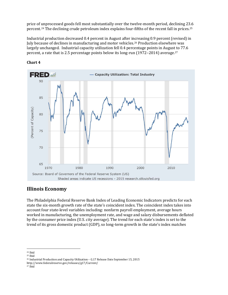price of [un](#page-6-0)processed goods fell most substantially over the twelve-month period, declining 23.6 percent.24 The declining crude petroleum index explains four-fifths of the recent fall in prices.[25](#page-6-1)

Industrial production decreased 0.4 percent in August after i[ncr](#page-6-2)easing 0.9 percent (revised) in July because of declines in manufacturing and motor vehicles.26 Production elsewhere was largely unchanged. Industrial capacity utilization fell 0.4 percentage points in August to 77.6 percent, a rate that is 2.5 percentage points below its long-run (1972–2014) average.[27](#page-6-3)



#### **Chart 4**

## **Illinois Economy**

The Philadelphia Federal Reserve Bank Index of Leading Economic Indicators predicts for each state the six-month growth rate of the state's coincident index. The coincident index takes into account four state-level variables including: nonfarm payroll employment, average hours worked in manufacturing, the unemployment rate, and wage and salary disbursements deflated by the consumer price index (U.S. city average). The trend for each state's index is set to the trend of its gross domestic product (GDP), so long-term growth in the state's index matches

 $\overline{\phantom{a}}$ <sup>24</sup> Ibid

<span id="page-6-1"></span><span id="page-6-0"></span><sup>25</sup> Ibid

<span id="page-6-2"></span><sup>26</sup> Industrial Production and Capacity Utilization – G.17 Release Date September 15, 2015

http://www.federalreserve.gov/releases/g17/Current/

<span id="page-6-3"></span><sup>27</sup> Ibid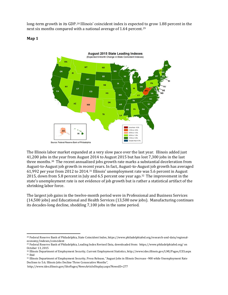long-term growth in its GDP.[28](#page-7-0) Illinois' coincident index is expecte[d t](#page-7-1)o grow 1.88 percent in the next six months compared with a national average of 1.64 percent.29

**Map 1**



The Illinois labor market expanded at a very slow pace over the last year. Illinois added just 41,200 jobs in the year from August 2014 to August 2015 but has lost 7,300 jobs in the last three months.[30](#page-7-2) The recent annualized jobs growth rate marks a substantial deceleration from August-to-August job growth in rec[en](#page-7-3)t years. In fact, August-to-August job growth has averaged 61,992 per year from 2012 to 2014.31 Illinois' unemployment rate was 5.6 percent in August 2015, down from 5.8 percent in July and 6.5 percent one year ago.[32](#page-7-4) The improvement in the state's unemployment rate is not evidence of job growth but is rather a statistical artifact of the shrinking labor force.

The largest job gains in the twelve-month period were in Professional and Business Services (14,500 jobs) and Educational and Health Services (13,500 new jobs). Manufacturing continues its decades-long decline, shedding 7,100 jobs in the same period.

<span id="page-7-0"></span>l <sup>28</sup> Federal Reserve Bank of Philadelphia, State Coincident Index, https://www.philadelphiafed.org/research-and-data/regionaleconomy/indexes/coincident

<span id="page-7-1"></span><sup>29</sup> Federal Reserve Bank of Philadelphia, Leading Index Revised Data, downloaded from: https://www.philadelphiafed.org/ on October 13, 2015

<span id="page-7-3"></span><span id="page-7-2"></span><sup>30</sup> Illinois Department of Employment Security, Current Employment Statistics, http://www.ides.illinois.gov/LMI/Pages/CES.aspx <sup>31</sup> Ibid

<span id="page-7-4"></span><sup>32</sup> Illinois Department of Employment Security, Press Release, "August Jobs in Illinois Decrease -900 while Unemployment Rate Declines to 5.6; Illinois Jobs Decline Three Consecutive Months",

http://www.ides.illinois.gov/SitePages/NewsArticleDisplay.aspx?NewsID=277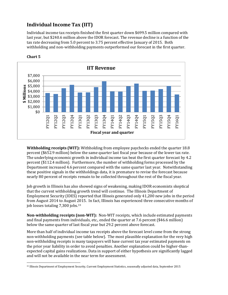## **Individual Income Tax (IIT)**

Individual income tax receipts finished the first quarter down \$699.5 million compared with last year, but \$240.6 million above the IDOR forecast. The revenue decline is a function of the tax rate decreasing from 5.0 percent to 3.75 percent effective January of 2015. Both withholding and non-withholding payments outperformed our forecast in the first quarter.



## **Chart 5**

 $\overline{\phantom{a}}$ 

**Withholding receipts (WIT):** Withholding from employee paychecks ended the quarter 18.8 percent (\$652.9 million) below the same quarter last fiscal year because of the lower tax rate. The underlying economic growth in individual income tax beat the first quarter forecast by 4.2 percent (\$112.4 million). Furthermore, the number of withholding forms processed by the Department increased 4.6 percent compared with the same quarter last year. Notwithstanding these positive signals in the withholdings data, it is premature to revise the forecast because nearly 80 percent of receipts remain to be collected throughout the rest of the fiscal year.

Job growth in Illinois has also showed signs of weakening, making IDOR economists skeptical that the current withholding growth trend will continue. The Illinois Department of Employment Security (IDES) reported that Illinois generated only 41,200 new jobs in the period from August 2014 to August [20](#page-8-0)15. In fact, Illinois has experienced three consecutive months of job losses totaling 7,300 jobs.33

**Non-withholding receipts (non-WIT):** Non-WIT receipts, which include estimated payments and final payments from individuals, etc., ended the quarter at 7.6 percent (\$46.6 million) below the same quarter of last fiscal year but 29.2 percent above forecast.

More than half of individual income tax receipts above the forecast level come from the strong non-withholding payments (see table below). The most plausible explanation for the very high non-withholding receipts is many taxpayers will base current tax year estimated payments on the prior year liability in order to avoid penalties. Another explanation could be higher-thanexpected capital gains realizations. Data in support of either hypothesis are significantly lagged and will not be available in the near term for assessment.

<span id="page-8-0"></span><sup>33</sup> Illinois Department of Employment Security, Current Employment Statistics, seasonally adjusted data, September 2015.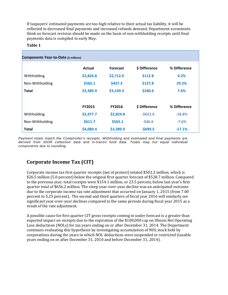If taxpayers' estimated payments are too high relative to their actual tax liability, it will be reflected in decreased final payments and increased refunds demand. Department economists think no forecast revision should be made on the basis of non-withholding receipts until final payments data is compiled in early May.

#### **Table 1**

| Components Year-to-Date (\$ millions) |               |                 |               |              |
|---------------------------------------|---------------|-----------------|---------------|--------------|
|                                       | Actual        | <b>Forecast</b> | \$ Difference | % Difference |
| Withholding                           | \$2,824.8     | \$2,712.0       | \$112.8       | 4.2%         |
| Non-Withholding                       | \$565.1       | \$437.3         | \$127.8       | 29.2%        |
| <b>Total</b>                          | \$3,389.9     | \$3,149.3       | \$240.6       | 7.6%         |
|                                       | <b>FY2015</b> | <b>FY2016</b>   | \$ Difference | % Difference |
| Withholding                           | \$3,477.7     | \$2,824.8       | $-5652.9$     | $-18.8%$     |
| Non-Withholding                       | \$611.7       | \$565.1         | $-546.6$      | $-7.6%$      |
| <b>Total</b>                          | \$4,089.4     | \$3,389.9       | $-5699.5$     | $-17.1%$     |

*Payment totals match the Comptroller's receipts. Withholding and estimated and final payments are derived from IDOR collection data and in-transit fund data. Totals may not equal individual components due to rounding.*

## **Corporate Income Tax (CIT)**

Corporate income tax first quarter receipts (net of protest) totaled \$502.2 million, which is \$26.5 million (5.0 percent) below the original first quarter forecast of \$528.7 million. Compared to the previous year, total receipts were \$154.1 million, or 23.5 percent, below last year's first quarter total of \$656.2 million. The steep year-over-year decline was an anticipated outcome due to the corporate income tax rate adjustment that occurred on January 1, 2015 (from 7.00 percent to 5.25 percent). The second and third quarters of fiscal year 2016 will similarly see significant year-over-year declines compared to the same periods during fiscal year 2015 as a result of the rate adjustment.

A possible cause for first quarter CIT gross receipts coming in under forecast is a greater than expected impact on receipts due to the expiration of the \$100,000 cap on Illinois Net Operating Loss deductions (NOLs) for tax years ending on or after December 31, 2014. The Department continues evaluating this hypothesis by investigating accumulation of NOL stock held by corporations during the years in which NOL deductions were suspended or restricted (taxable years ending on or after December 31, 2010 and before December 31, 2014).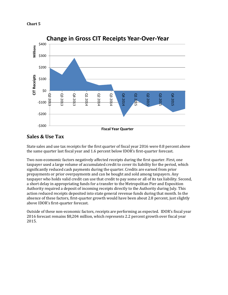



## **Sales & Use Tax**

State sales and use tax receipts for the first quarter of fiscal year 2016 were 0.8 percent above the same quarter last fiscal year and 1.6 percent below IDOR's first-quarter forecast.

Two non-ecomomic factors negatively affected receipts during the first quarter. First, one taxpayer used a large volume of accumulated credit to cover its liability for the period, which significantly reduced cash payments during the quarter. Credits are earned from prior prepayments or prior overpayments and can be bought and sold among taxpayers. Any taxpayer who holds valid credit can use that credit to pay some or all of its tax liability. Second, a short delay in appropriating funds for a transfer to the Metropolitan Pier and Exposition Authority required a deposit of incoming receipts directly to the Authority during July. This action reduced receipts deposited into state general revenue funds during that month. In the absence of these factors, first-quarter growth would have been about 2.8 percent, just slightly above IDOR's first-quarter forecast.

Outside of these non-economic factors, receipts are performing as expected. IDOR's fiscal year 2016 forecast remains \$8,204 million, which represents 2.2 percent growth over fiscal year 2015.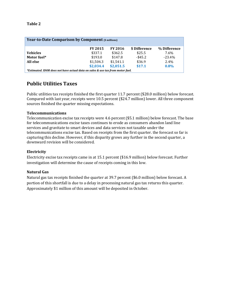#### **Table 2**

| <b>Year-to-Date Comparison by Component (\$ millions)</b>                      |                |                |               |              |  |  |  |  |
|--------------------------------------------------------------------------------|----------------|----------------|---------------|--------------|--|--|--|--|
|                                                                                | <b>FY 2015</b> | <b>FY 2016</b> | \$ Difference | % Difference |  |  |  |  |
| <b>Vehicles</b>                                                                | \$337.1        | \$362.5        | \$25.5        | 7.6%         |  |  |  |  |
| Motor fuel*                                                                    | \$193.0        | \$147.8        | $-$ \$45.2    | $-23.4%$     |  |  |  |  |
| All else                                                                       | \$1,504.3      | \$1,541.1      | \$36.9        | $2.4\%$      |  |  |  |  |
|                                                                                | \$2,034.4      | \$2,051.5      | \$17.1        | 0.8%         |  |  |  |  |
| *Estimated. IDOR does not have actual data on sales & use tax from motor fuel. |                |                |               |              |  |  |  |  |

## **Public Utilities Taxes**

Public utilities tax receipts finished the first quarter 11.7 percent (\$28.0 million) below forecast. Compared with last year, receipts were 10.5 percent (\$24.7 million) lower. All three component sources finished the quarter missing expectations.

#### **Telecommunications**

Telecommunication excise tax receipts were 4.6 percent (\$5.1 million) below forecast. The base for telecommunications excise taxes continues to erode as consumers abandon land line services and gravitate to smart devices and data services not taxable under the telecommunications excise tax. Based on receipts from the first quarter. the forecast so far is capturing this decline. However, if this disparity grows any further in the second quarter, a downward revision will be considered.

## **Electricity**

Electricity excise tax receipts came in at 15.1 percent (\$16.9 million) below forecast. Further investigation will determine the cause of receipts coming in this low.

## **Natural Gas**

Natural gas tax receipts finished the quarter at 39.7 percent (\$6.0 million) below forecast. A portion of this shortfall is due to a delay in processing natural gas tax returns this quarter. Approximately \$1 million of this amount will be deposited in October.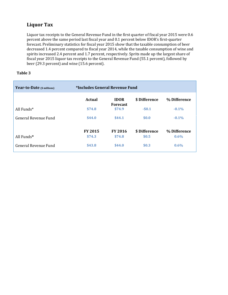## **Liquor Tax**

Liquor tax receipts to the General Revenue Fund in the first quarter of fiscal year 2015 were 0.6 percent above the same period last fiscal year and 0.1 percent below IDOR's first-quarter forecast. Preliminary statistics for fiscal year 2015 show that the taxable consumption of beer decreased 1.4 percent compared to fiscal year 2014, while the taxable consumption of wine and spirits increased 2.4 percent and 1.7 percent, respectively. Sprits made up the largest share of fiscal year 2015 liquor tax receipts to the General Revenue Fund (55.1 percent), followed by beer (29.3 percent) and wine (15.6 percent).

## **Table 3**

| Year-to-Date (\$ millions) | *Includes General Revenue Fund |                                |               |              |
|----------------------------|--------------------------------|--------------------------------|---------------|--------------|
|                            | <b>Actual</b>                  | <b>IDOR</b><br><b>Forecast</b> | \$ Difference | % Difference |
| All Funds $*$              | \$74.8                         | \$74.9                         | $-50.1$       | $-0.1\%$     |
| General Revenue Fund       | \$44.0                         | \$44.1                         | \$0.0         | $-0.1\%$     |
|                            | <b>FY 2015</b>                 | <b>FY 2016</b>                 | \$ Difference | % Difference |
| All Funds*                 | \$74.3                         | \$74.8                         | \$0.5         | $0.6\%$      |
| General Revenue Fund       | \$43.8                         | \$44.0                         | \$0.3         | $0.6\%$      |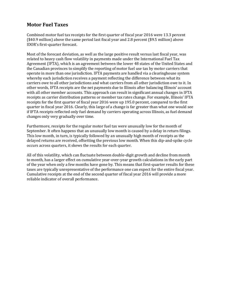## **Motor Fuel Taxes**

Combined motor fuel tax receipts for the first quarter of fiscal year 2016 were 13.3 percent (\$40.9 million) above the same period last fiscal year and 2.8 percent (\$9.5 million) above IDOR's first-quarter forecast.

Most of the forecast deviation, as well as the large positive result versus last fiscal year, was related to heavy cash flow volatility in payments made under the International Fuel Tax Agreement (IFTA), which is an agreement between the lower 48 states of the United States and the Canadian provinces to simplify the reporting of motor fuel use tax by motor carriers that operate in more than one jurisdiction. IFTA payments are handled via a clearinghouse system whereby each jurisdiction receives a payment reflecting the difference between what its carriers owe to all other jurisdictions and what carriers from all other jurisdiction owe to it. In other words, IFTA receipts are the net payments due to Illinois after balancing Illinois' account with all other member accounts. This approach can result in significant annual changes in IFTA receipts as carrier distribution patterns or member tax rates change. For example, Illinois' IFTA receipts for the first quarter of fiscal year 2016 were up 195.0 percent, compared to the first quarter in fiscal year 2016. Clearly, this large of a change is far greater than what one would see if IFTA receipts reflected only fuel demand by carriers operating across Illinois, as fuel demand changes only very gradually over time.

Furthermore, receipts for the regular motor fuel tax were unusually low for the month of September. It often happens that an unusually low month is caused by a delay in return filings. This low month, in turn, is typically followed by an unusually high month of receipts as the delayed returns are received, offsetting the previous low month. When this dip-and-spike cycle occurs across quarters, it skews the results for each quarter.

All of this volatility, which can fluctuate between double-digit growth and decline from month to month, has a larger effect on cumulative year-over-year growth calculations in the early part of the year when only a few months have gone by. This means that first-quarter results for these taxes are typically unrepresentative of the performance one can expect for the entire fiscal year. Cumulative receipts at the end of the second quarter of fiscal year 2016 will provide a more reliable indicator of overall performance.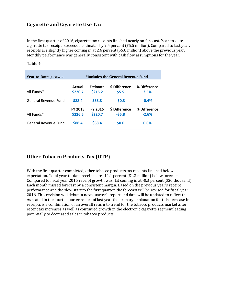## **Cigarette and Cigarette Use Tax**

In the first quarter of 2016, cigarette tax receipts finished nearly on forecast. Year-to-date cigarette tax receipts exceeded estimates by 2.5 percent (\$5.5 million). Compared to last year, receipts are slightly higher coming in at 2.6 percent (\$5.8 million) above the previous year. Monthly performance was generally consistent with cash flow assumptions for the year.

| Year-to-Date (\$ millions) |                           |                            | *Includes the General Revenue Fund |                         |
|----------------------------|---------------------------|----------------------------|------------------------------------|-------------------------|
| All Funds*                 | Actual<br>\$220.7         | <b>Estimate</b><br>\$215.2 | \$ Difference<br>\$5.5             | % Difference<br>2.5%    |
| General Revenue Fund       | \$88.4                    | \$88.8                     | $-50.3$                            | $-0.4%$                 |
| All Funds*                 | <b>FY 2015</b><br>\$226.5 | <b>FY 2016</b><br>\$220.7  | \$ Difference<br>$-55.8$           | % Difference<br>$-2.6%$ |
| General Revenue Fund       | \$88.4                    | \$88.4                     | \$0.0                              | 0.0%                    |

#### **Table 4**

## **Other Tobacco Products Tax (OTP)**

With the first quarter completed, other tobacco products tax receipts finished below expectation. Total year-to-date receipts are -11.1 percent (\$1.3 million) below forecast. Compared to fiscal year 2015 receipt growth was flat coming in at -0.3 percent (\$30 thousand). Each month missed forecast by a consistent margin. Based on the previous year's receipt performance and the slow start to the first quarter, the forecast will be revised for fiscal year 2016. This revision will debut in next quarter's report and data will be updated to reflect this. As stated in the fourth quarter report of last year the primary explanation for this decrease in receipts is a combination of an overall return to trend for the tobacco products market after recent tax increases as well as continued growth in the electronic cigarette segment leading potentially to decreased sales in tobacco products.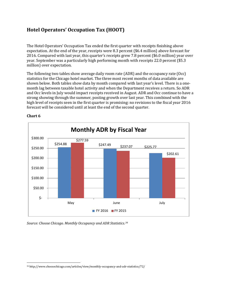## **Hotel Operators' Occupation Tax (HOOT)**

The Hotel Operators' Occupation Tax ended the first quarter with receipts finishing above expectation. At the end of the year, receipts were 8.3 percent (\$6.4 million) above forecast for 2016. Compared with last year, this quarter's receipts grew 7.8 percent (\$6.0 million) year over year. September was a particularly high performing month with receipts 22.0 percent (\$5.3 million) over expectation.

The following two tables show average daily room rate (ADR) and the occupancy rate (Occ) statistics for the Chicago hotel market. The three most recent months of data available are shown below. Both tables show data by month compared with last year's level. There is a onemonth lag between taxable hotel activity and when the Department receives a return. So ADR and Occ levels in July would impact receipts received in August. ADR and Occ continue to have a strong showing through the summer, posting growth over last year. This combined with the high level of receipts seen in the first quarter is promising: no revisions to the fiscal year 2016 forecast will be considered until at least the end of the second quarter.



#### **Chart 6**

 $\overline{\phantom{a}}$ 

*Source: Choose Chicago. Monthly Occupancy and ADR Statistics.[34](#page-15-0)*

<span id="page-15-0"></span><sup>34</sup> http://www.choosechicago.com/articles/view/monthly-occupancy-and-adr-statistics/72/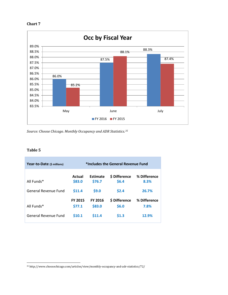#### **Chart 7**



*Source: Choose Chicago. Monthly Occupancy and ADR Statistics.[35](#page-16-0)*

#### **Table 5**

| Year-to-Date (\$ millions)  | *Includes the General Revenue Fund |                           |                              |                      |  |  |  |
|-----------------------------|------------------------------------|---------------------------|------------------------------|----------------------|--|--|--|
| All Funds*                  | Actual<br>\$83.0                   | <b>Estimate</b><br>\$76.7 | <b>S</b> Difference<br>\$6.4 | % Difference<br>8.3% |  |  |  |
| <b>General Revenue Fund</b> | \$11.4                             | \$9.0                     | \$2.4                        | 26.7%                |  |  |  |
| All Funds*                  | <b>FY 2015</b><br>\$77.1           | <b>FY 2016</b><br>\$83.0  | <b>S</b> Difference<br>\$6.0 | % Difference<br>7.8% |  |  |  |
| General Revenue Fund        | \$10.1                             | \$11.4                    | \$1.3                        | 12.9%                |  |  |  |

<span id="page-16-0"></span><sup>35</sup> http://www.choosechicago.com/articles/view/monthly-occupancy-and-adr-statistics/72/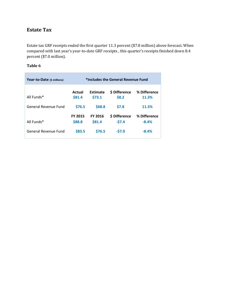## **Estate Tax**

Estate tax GRF receipts ended the first quarter 11.3 percent (\$7.8 million) above forecast. When compared with last year's year-to-date GRF receipts , this quarter's receipts finished down 8.4 percent (\$7.0 million).

## **Table 6**

| Year-to-Date (\$ millions) | *Includes the General Revenue Fund |                          |                          |                         |  |  |  |
|----------------------------|------------------------------------|--------------------------|--------------------------|-------------------------|--|--|--|
| All Funds*                 | Actual<br>\$81.4                   | Estimate<br>\$73.1       | \$ Difference<br>\$8.2   | % Difference<br>11.3%   |  |  |  |
| General Revenue Fund       | \$76.5                             | \$68.8                   | <b>\$7.8</b>             | 11.3%                   |  |  |  |
| All Funds*                 | <b>FY 2015</b><br>\$88.8           | <b>FY 2016</b><br>\$81.4 | \$ Difference<br>$-57.4$ | % Difference<br>$-8.4%$ |  |  |  |
| General Revenue Fund       | \$83.5                             | \$76.5                   | $-57.0$                  | $-8.4%$                 |  |  |  |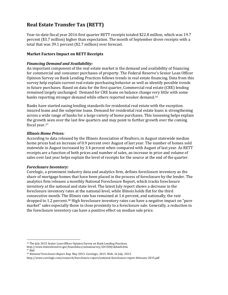## **Real Estate Transfer Tax (RETT)**

Year-to-date fiscal year 2016 first quarter RETT receipts totaled \$22.8 million, which was 19.7 percent (\$3.7 million) higher than expectation. The month of September drove receipts with a total that was 39.1 percent (\$2.7 million) over forecast.

## **Market Factors Impact on RETT Receipts**

## *Financing Demand and Availability:*

An important component of the real estate market is the demand and availability of financing for commercial and consumer purchases of property. The Federal Reserve's Senior Loan Officer Opinion Survey on Bank Lending Practices follows trends in real estate financing. Data from this survey help explain current real estate purchasing behavior as well as identify possible trends in future purchases. Based on data for the first quarter, Commercial real estate (CRE) lending remained largely unchanged. Demand for CRE loans on balance change very little with some banks reporting stronger demand while others reported weaker demand.[36](#page-18-0)

Banks have started easing lending standards for residential real estate with the exception insured loans and the subprime loans. Demand for residential real estate loans is strengthening across a wide range of banks for a large variety of home purchases. This loosening helps explain the growth seen over the last few quarters and may point to further growth over the coming fiscal year.[37](#page-18-1)

## *Illinois Home Prices:*

According to data released by the Illinois Association of Realtors, in August statewide median home prices had an increase of 0.9 percent over August of last year. The number of homes sold statewide in August increased by 3.4 percent when compared with August of last year. As RETT receipts are a function of both prices and number of sales, an increase in price and volume of sales over last year helps explain the level of receipts for the source at the end of the quarter.

## *Foreclosure Inventory:*

l

Corelogic, a prominent industry data and analytics firm, defines foreclosure inventory as the share of mortgage homes that have been placed in the process of foreclosure by the lender. The analytics firm releases a monthly National Foreclosure Report, which tracks foreclosure inventory at the national and state level. The latest July report shows a decrease in the foreclosure inventory rates at the national level, while Illinois holds flat for the third consecutive month. The Illinois rate has remained at 1.6 percent, and nationally, the rate dropped to 1.2 percent.[38](#page-18-2) High foreclosure inventory rates can have a negative impact on "pure market" sales especially those in close proximity to a foreclosure sale. Generally, a reduction in the foreclosure inventory can have a positive effect on median sale price.

<span id="page-18-0"></span><sup>36</sup> The July 2015 Senior Loan Officer Opinion Survey on Bank Lending Practices,

<span id="page-18-1"></span>http://www.federalreserve.gov/boarddocs/snloansurvey/201508/default.htm <sup>37</sup> Ibid

<span id="page-18-2"></span><sup>38</sup> *National Foreclosure Report*. Rep. May 2015. Corelogic, 2015. Web. 16 July. 2015.

http://www.corelogic.com/research/foreclosure-report/national-foreclosure-report-february-2015.pdf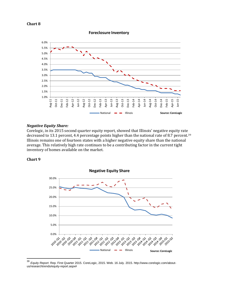

1.0% 1.5% 2.0% 2.5% 3.0% 3.5% 4.0% 4.5% 5.0% 5.5% 6.0% Aug-11 Oct-11 Dec-11 Feb-12 Apr-12 Jun-12 Aug-12 Oct-12 Dec-12 Feb-13 Apr-13 Jun-13 Aug-13 Oct-13 Dec-13 Feb-14 Apr-14 Jun-14 Aug-14 Oct-14 Dec-14 Feb-15 Apr-15 Jun-15 **Source: CoreLogic** National - Illinois

**Foreclosure Inventory**

*Negative Equity Share:* Corelogic, in its 2015 second quarter equity report, showed that Illinois' negative equity rate decreased to 13.1 percent, 4.4 percentage points higher than the national rate of 8.7 percent.<sup>[39](#page-19-0)</sup> Illinois remains one of fourteen states with a higher negative equity share than the national average. This relatively high rate continues to be a contributing factor in the current tight inventory of homes available on the market.

#### **Chart 9**



**Negative Equity Share**

<span id="page-19-0"></span><sup>39</sup> *Equity Report*. Rep. First Quarter 2015. CoreLogic, 2015. Web. 16 July. 2015. http://www.corelogic.com/aboutus/researchtrends/equity-report.aspx#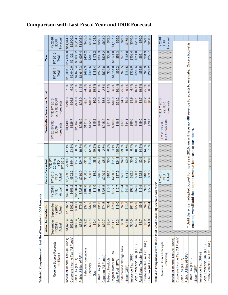| Table A-1. Comparisons with Last Fiscal Year and with IDOR Forecasts        |                               |                                                                   |                         |                          |                                             |          |                                                |                                                                                                                              |          |                  |                  |                                    |
|-----------------------------------------------------------------------------|-------------------------------|-------------------------------------------------------------------|-------------------------|--------------------------|---------------------------------------------|----------|------------------------------------------------|------------------------------------------------------------------------------------------------------------------------------|----------|------------------|------------------|------------------------------------|
|                                                                             |                               | <b>Actual for the Month</b>                                       |                         | Year-to-Date Actual      |                                             |          |                                                | Year-to-Date Forecast vs. Actual                                                                                             |          |                  | Year             |                                    |
| Revenue Source Receipts<br>(millions)                                       | September<br>FY2015<br>Actual | September<br>FY2016<br>Actual                                     | FY 2015<br>Actual<br>PБ | FY 2016<br>Actual<br>ЯZ  | FY 2015<br>2016 vs.<br>YTD FY<br><b>ALD</b> |          | <b>FY 2016 YTD</b><br>Forecasts<br><b>IDOR</b> | vs. YTD IDOR<br><b>YTD FY 2016</b><br>Forecasts                                                                              |          | FY 2014<br>Total | FY 2015<br>Total | Forecast<br>FY 2016<br><b>IDOR</b> |
| Individual Income Tax (All Funds)                                           | \$1,679.4                     | \$1,392.7                                                         | \$4,089.4               | \$3,389.9                | $-$699.5$                                   | $-17.1%$ | \$3,149.3                                      | \$240.6                                                                                                                      | 7.6%     | \$18,387.7       | \$17,682.0       | \$14,644.0                         |
| Corporate Incorne Tax (All Funds)                                           | \$525.8                       | \$392.2                                                           | \$656.2                 | \$502.2                  | $-$154.1$                                   | $-23.5%$ | \$528.7                                        | $-$26.5$                                                                                                                     | $-5.0%$  | \$3,640.0        | \$3,129.1        | \$2,800.0                          |
| Sales Tax (GRFs)                                                            | \$680.4                       | \$686.1                                                           | \$2,034.4               | \$2,051.5                | \$17.1                                      | 0.8%     | \$2,084.5                                      | \$33.0                                                                                                                       | $-1.6%$  | \$7.675.4        | \$8,030.2        | \$8,204.0                          |
| Public Utilities (GRFs)                                                     | \$83.0                        | \$79.8                                                            | \$235.6                 | \$210.9                  | $-524.7$                                    | $-10.5%$ | \$238.9                                        | \$28.0                                                                                                                       | $-11.7%$ | \$1,013.3        | \$1,005.4        | \$1,008.0                          |
| Telecommunications                                                          | \$39.2                        | \$37.7                                                            | \$108.6                 | \$106.6                  | $-51.9$                                     | $-1.8%$  | \$111.8                                        | $-35.1$                                                                                                                      | $-4.6%$  | \$422.3          | \$434.2          | \$435.0                            |
| Electricity                                                                 | \$38.4                        | \$37.0                                                            | \$109.0                 | \$95.1                   | $-$13.9$                                    | $-12.8%$ | \$112.0                                        | \$16.9                                                                                                                       | $-15.1%$ | \$402.5          | \$393.1          | \$405.0                            |
| Gas                                                                         | \$5.4                         | \$5.1                                                             | \$18.0                  | \$9.2                    | $-$ \$8.9                                   | -49.2%   | \$15.2                                         | $-$6.0$                                                                                                                      | $-39.7%$ | \$188.4          | \$178.2          | \$168.0                            |
| Estate Tax (GRF)                                                            | \$19.2                        | \$31.0                                                            | \$83.5                  | \$76.5                   | $-87.0$                                     | $-8.4%$  | \$68.8                                         | \$7.8                                                                                                                        | 11.3%    | \$276.5          | \$333.3          | \$275.0                            |
| Cigarette (All Funds)                                                       | \$80.7                        | \$74.5                                                            | \$226.5                 | \$220.7                  | $-85.8$                                     | $-2.6%$  | \$215.2                                        | \$5.5                                                                                                                        | 2.5%     | \$823.8          | \$825.2          | \$803.0                            |
| <b>Tobacco Products</b>                                                     | \$3.4                         | \$3.4                                                             | \$10.1                  | \$10.1                   | \$0.0                                       | $-0.3%$  | \$11.4                                         | $-51.3$                                                                                                                      | $-11.1%$ | \$36.0           | \$36.8           | \$42.0                             |
| Regular Motor Fuel Tax                                                      | \$111.1                       | \$74.8                                                            | \$277.7                 | \$289.0                  | \$11.3                                      | 4.1%     | \$304.9                                        | \$15.9                                                                                                                       | $-5.2%$  | \$1,157.0        | \$1,171.0        | \$1,187.0                          |
| Motor Fuel - IFTA                                                           | \$0.3                         | \$19.0                                                            | \$12.7                  | \$37.5                   | \$24.8                                      | 195.0%   | \$16.3                                         | \$21.2                                                                                                                       | 130.4%   | \$66.2           | \$51.3           | \$65.0                             |
| Underground Storage Tank                                                    | \$6.0                         | \$7.9                                                             | \$16.4                  | \$21.3                   | \$4.9                                       | 29.8%    | \$17.0                                         | \$4.3                                                                                                                        | 25.0%    | \$70.5           | \$70.7           | \$72.0                             |
| Liquor (GRF)                                                                | \$13.8                        | \$13.2                                                            | \$43.8                  | \$44.0                   | \$0.3                                       | 0.6%     | \$44.1                                         | \$0.0                                                                                                                        | $-0.1%$  | \$164.5          | \$166.8          | \$168.0                            |
| Insumence Iax(GRF)                                                          | \$67.5                        | \$61.3                                                            | \$92.1                  | \$92.5                   | \$0.4                                       | 0.4%     | \$88.6                                         | \$3.9                                                                                                                        | 4.4%     | \$332.6          | \$353.4          | \$340.0                            |
| Corp. Franchise Tax (GRF                                                    | \$22.6                        | \$27.9                                                            | \$52.5                  | \$58.1                   | \$5.6                                       | 10.6%    | \$50.0                                         | \$81                                                                                                                         | 16.1%    | \$202.6          | \$211.0          | \$201.0                            |
| Real Estate Transfer Tax                                                    | \$8.7                         | \$9.8                                                             | \$19.9                  | \$22.8                   | \$2.9                                       | 14.3%    | \$19.0                                         | 5.7                                                                                                                          | 19.7%    | \$56.5           | \$66.            | \$70.0                             |
| Private Vehicle Use Tax (GRF)                                               | \$3.2                         | \$4.3                                                             | \$9.2                   | \$10.5                   | \$1.3                                       | 14.5%    | \$8.4                                          | \$2.2                                                                                                                        | 25.8%    | \$28.9           | \$31.9           | \$29.0                             |
| Hotel Tax (All Funds)                                                       | \$24.6                        | \$29.4                                                            | \$77.                   | \$83.0                   | \$6.0                                       | 7.8%     | \$76.7                                         | \$6.4                                                                                                                        | 8.3%     | \$227.2          | \$256.7          | \$250.0                            |
| Table A-2. Comparisons with House Joint Resolution (HJR) Revenue Forecasts* |                               |                                                                   |                         |                          |                                             |          |                                                |                                                                                                                              |          |                  |                  |                                    |
| Revenue Source Receipts<br>(millions)                                       |                               |                                                                   |                         | FY 2016<br>Actual<br>YТD |                                             |          | <b>HJR Forecasts</b><br><b>FY 2016 YTD</b>     | <b>YTD FY 2016</b><br>Forecasts<br>vs. HJR                                                                                   |          |                  |                  | FY 2016<br>Forecast<br>HJR<br>H    |
| Individual Income Tax (All Funds)                                           |                               |                                                                   |                         |                          |                                             |          |                                                |                                                                                                                              |          |                  |                  |                                    |
| Corporate Income Tax (All Funds)                                            |                               |                                                                   |                         |                          |                                             |          |                                                |                                                                                                                              |          |                  |                  |                                    |
| Sales Tax (GRFs)                                                            |                               |                                                                   |                         |                          |                                             |          |                                                |                                                                                                                              |          |                  |                  |                                    |
| Public Utilities (GRFs)                                                     |                               |                                                                   |                         |                          |                                             |          |                                                | * Until there is an adopted budget for fiscal year 2016, we will have no HJR revenue forecasts to evaluate. Once a budget is |          |                  |                  |                                    |
| Estate Tax (GRF)                                                            |                               | enacted, we will add the adopted revenue forecasts to our report. |                         |                          |                                             |          |                                                |                                                                                                                              |          |                  |                  |                                    |
| Liquor (GRF)                                                                |                               |                                                                   |                         |                          |                                             |          |                                                |                                                                                                                              |          |                  |                  |                                    |
| Insurance Tax (GRFs)                                                        |                               |                                                                   |                         |                          |                                             |          |                                                |                                                                                                                              |          |                  |                  |                                    |
| Corp. Franchise Tax (GRF)                                                   |                               |                                                                   |                         |                          |                                             |          |                                                |                                                                                                                              |          |                  |                  |                                    |
| Private Vehicle Use Tax (GRF)                                               |                               |                                                                   |                         |                          |                                             |          |                                                |                                                                                                                              |          |                  |                  |                                    |

# **Comparison with Last Fiscal Year and IDOR Forecast**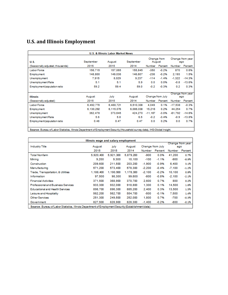# **U.S. and Illinois Employment**

| <b>U.S. &amp; Illinois Labor Market News</b> |           |           |           |                  |             |                         |                         |
|----------------------------------------------|-----------|-----------|-----------|------------------|-------------|-------------------------|-------------------------|
| U.S.                                         | September | August    | September | August           | Change from |                         | Change from year<br>ago |
| (Seasonally adjusted, thousands)             | 2015      | 2015      | 2014      | Number           | Percent     | Number                  | Percent                 |
| <b>LaborForce</b>                            | 156,715   | 157,065   | 155,845   | $-350$           | $-0.2%$     | 870                     | 0.6%                    |
| Employment                                   | 148,800   | 149,036   | 146,607   | -236             | $-0.2%$     | 2.193                   | 1.5%                    |
| Unemployment                                 | 7.915     | 8.029     | 9.237     | $-114$           | $-1.4%$     | $-1,322$                | $-14.3%$                |
| Unemployment Rate                            | 5.1       | 5.1       | 5.9       | 0.0              | 0.0%        | $-0.8$                  | $-13.6%$                |
| Employment/population ratio                  | 59.2      | 59.4      | 59.0      | $-0.2$           | $-0.3%$     | 0.2                     | 0.3%                    |
|                                              |           |           |           |                  |             |                         |                         |
| <b>Illinois</b>                              | August    | July      | August    | Change from July |             | Change from year<br>ago |                         |
| (Seasonally adjusted)                        | 2015      | 2015      | 2014      | Number           | Percent     | Number                  | Percent                 |
| <b>LaborForce</b>                            | 6.492.770 | 6,488,721 | 6,510,308 | 4.049            | 0.1%        | $-17.538$               | $-0.3%$                 |
| Employment                                   | 6.130.292 | 6,115,076 | 6,086,038 | 15.216           | 0.2%        | 44.254                  | 0.7%                    |
| Unemployment                                 | 362.478   | 373.645   | 424.270   | $-11.167$        | $-3.0%$     | $-61.792$               | $-14.6%$                |
| Unemployment Rate                            | 5.6       | 5.8       | 6.5       | $-0.2$           | $-3.4%$     | $-0.9$                  | $-13.8%$                |
| Employment/population ratio                  | 0.48      | 0.47      | 0.47      | 0.0              | 0.2%        | 0.0                     | 0.7%                    |
|                                              |           |           |           |                  |             |                         |                         |

Source: Bureau of Labor Statistics, Illinois Department of Employment Security (Household survey data), IHS-Global Insight.

| Illinois wage and salary employment                                                                 |           |           |           |                  |         |          |                  |
|-----------------------------------------------------------------------------------------------------|-----------|-----------|-----------|------------------|---------|----------|------------------|
|                                                                                                     |           |           |           |                  |         |          | Change from year |
| <b>Industry Title</b>                                                                               | August    | july      | August    | Change from July |         |          | ago              |
|                                                                                                     | 2015      | 2015      | 2014      | Number           | Percent | Number   | Percent          |
| <b>Total Nonfarm</b>                                                                                | 5,920,400 | 5,921,300 | 5,879,200 | -900             | 0.0%    | 41.200   | 0.7%             |
| Mining                                                                                              | 9.200     | 9.300     | 10,100    | $-100$           | $-1.1%$ | -900     | -8.9%            |
| Construction                                                                                        | 209,600   | 211,500   | 203.200   | $-1.900$         | $-0.9%$ | 6.400    | 3.1%             |
| Manufacturing                                                                                       | 571.200   | 573.400   | 578,300   | $-2.200$         | $-0.4%$ | $-7.100$ | $-1.2%$          |
| Trade, Transportation, & Utilities                                                                  | 1,188,400 | 1,190,500 | 1,178,300 | $-2.100$         | $-0.2%$ | 10,100   | 0.9%             |
| Information                                                                                         | 97.500    | 98,300    | 99,600    | -800             | $-0.8%$ | $-2.100$ | $-2.1%$          |
| <b>Financial Activities</b>                                                                         | 371,500   | 368,900   | 370.700   | 2.600            | 0.7%    | 800      | 0.2%             |
| Professional and Business Services                                                                  | 933.300   | 932.000   | 918,800   | 1.300            | 0.1%    | 14,500   | 1.6%             |
| Educational and Health Services                                                                     | 898,700   | 896.300   | 885,200   | 2.400            | 0.3%    | 13,500   | 1.5%             |
| Leisure and Hospitality                                                                             | 562.200   | 562,700   | 554.700   | -500             | $-0.1%$ | 7.500    | 1.4%             |
| <b>Other Services</b>                                                                               | 251.300   | 249.500   | 252,000   | 1,800            | 0.7%    | -700     | $-0.3%$          |
| Government                                                                                          | 827.500   | 828,900   | 828,300   | $-1.400$         | $-0.2%$ | -800     | $-0.1%$          |
| Source: Bureau of Labor Statistics, Illinois Department of Employment Security (Establishment data) |           |           |           |                  |         |          |                  |